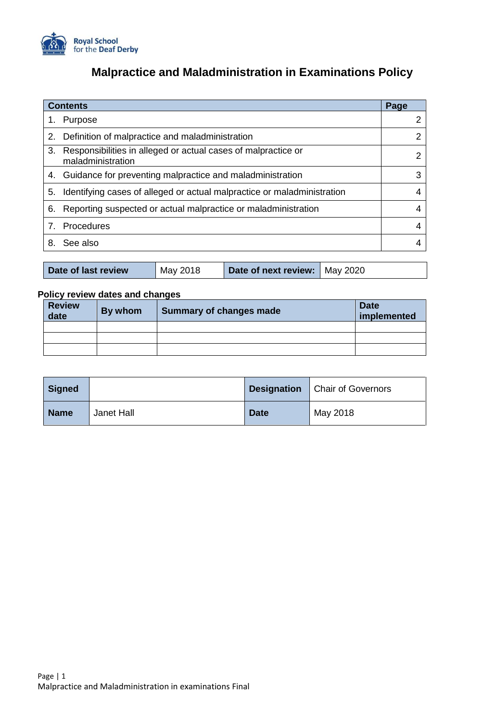

# **Malpractice and Maladministration in Examinations Policy**

| <b>Contents</b> |                                                                                    |   |
|-----------------|------------------------------------------------------------------------------------|---|
|                 | Purpose                                                                            | າ |
| 2.              | Definition of malpractice and maladministration                                    | າ |
| 3.              | Responsibilities in alleged or actual cases of malpractice or<br>maladministration | າ |
| 4.              | Guidance for preventing malpractice and maladministration                          | 3 |
| 5.              | Identifying cases of alleged or actual malpractice or maladministration            | 4 |
| 6.              | Reporting suspected or actual malpractice or maladministration                     |   |
|                 | Procedures                                                                         |   |
|                 | See also                                                                           |   |

| Date of last review | May 2018 | Date of next review:   May 2020 |  |
|---------------------|----------|---------------------------------|--|
|---------------------|----------|---------------------------------|--|

# **Policy review dates and changes**

| <b>Review</b><br>date | By whom | <b>Summary of changes made</b> | <b>Date</b><br>implemented |
|-----------------------|---------|--------------------------------|----------------------------|
|                       |         |                                |                            |
|                       |         |                                |                            |
|                       |         |                                |                            |

| <b>Signed</b> |            |             | <b>Designation</b>   Chair of Governors |
|---------------|------------|-------------|-----------------------------------------|
| <b>Name</b>   | Janet Hall | <b>Date</b> | May 2018                                |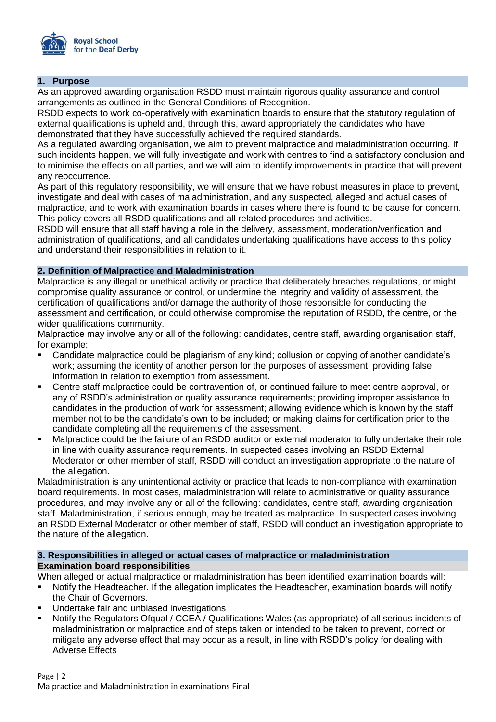

#### **1. Purpose**

As an approved awarding organisation RSDD must maintain rigorous quality assurance and control arrangements as outlined in the General Conditions of Recognition.

RSDD expects to work co-operatively with examination boards to ensure that the statutory regulation of external qualifications is upheld and, through this, award appropriately the candidates who have demonstrated that they have successfully achieved the required standards.

As a regulated awarding organisation, we aim to prevent malpractice and maladministration occurring. If such incidents happen, we will fully investigate and work with centres to find a satisfactory conclusion and to minimise the effects on all parties, and we will aim to identify improvements in practice that will prevent any reoccurrence.

As part of this regulatory responsibility, we will ensure that we have robust measures in place to prevent, investigate and deal with cases of maladministration, and any suspected, alleged and actual cases of malpractice, and to work with examination boards in cases where there is found to be cause for concern. This policy covers all RSDD qualifications and all related procedures and activities.

RSDD will ensure that all staff having a role in the delivery, assessment, moderation/verification and administration of qualifications, and all candidates undertaking qualifications have access to this policy and understand their responsibilities in relation to it.

## **2. Definition of Malpractice and Maladministration**

Malpractice is any illegal or unethical activity or practice that deliberately breaches regulations, or might compromise quality assurance or control, or undermine the integrity and validity of assessment, the certification of qualifications and/or damage the authority of those responsible for conducting the assessment and certification, or could otherwise compromise the reputation of RSDD, the centre, or the wider qualifications community.

Malpractice may involve any or all of the following: candidates, centre staff, awarding organisation staff, for example:

- Candidate malpractice could be plagiarism of any kind; collusion or copying of another candidate's work; assuming the identity of another person for the purposes of assessment; providing false information in relation to exemption from assessment.
- Centre staff malpractice could be contravention of, or continued failure to meet centre approval, or any of RSDD's administration or quality assurance requirements; providing improper assistance to candidates in the production of work for assessment; allowing evidence which is known by the staff member not to be the candidate's own to be included; or making claims for certification prior to the candidate completing all the requirements of the assessment.
- Malpractice could be the failure of an RSDD auditor or external moderator to fully undertake their role in line with quality assurance requirements. In suspected cases involving an RSDD External Moderator or other member of staff, RSDD will conduct an investigation appropriate to the nature of the allegation.

Maladministration is any unintentional activity or practice that leads to non-compliance with examination board requirements. In most cases, maladministration will relate to administrative or quality assurance procedures, and may involve any or all of the following: candidates, centre staff, awarding organisation staff. Maladministration, if serious enough, may be treated as malpractice. In suspected cases involving an RSDD External Moderator or other member of staff, RSDD will conduct an investigation appropriate to the nature of the allegation.

#### **3. Responsibilities in alleged or actual cases of malpractice or maladministration Examination board responsibilities**

When alleged or actual malpractice or maladministration has been identified examination boards will:

- Notify the Headteacher. If the allegation implicates the Headteacher, examination boards will notify the Chair of Governors.
- Undertake fair and unbiased investigations
- Notify the Regulators Ofqual / CCEA / Qualifications Wales (as appropriate) of all serious incidents of maladministration or malpractice and of steps taken or intended to be taken to prevent, correct or mitigate any adverse effect that may occur as a result, in line with RSDD's policy for dealing with Adverse Effects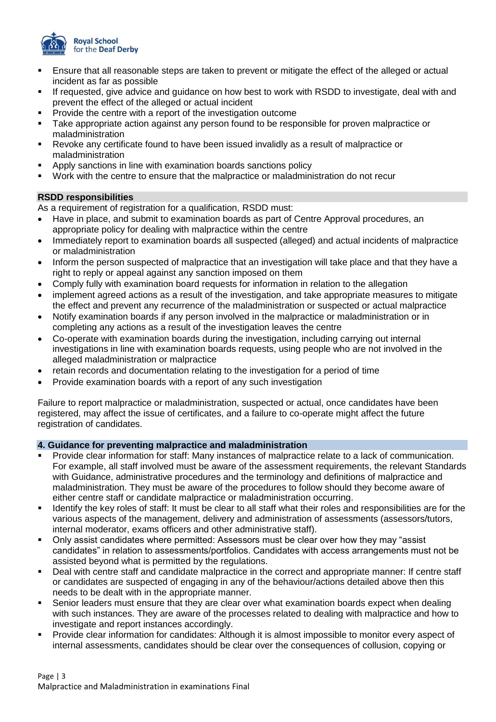

- Ensure that all reasonable steps are taken to prevent or mitigate the effect of the alleged or actual incident as far as possible
- If requested, give advice and guidance on how best to work with RSDD to investigate, deal with and prevent the effect of the alleged or actual incident
- Provide the centre with a report of the investigation outcome
- Take appropriate action against any person found to be responsible for proven malpractice or maladministration
- Revoke any certificate found to have been issued invalidly as a result of malpractice or maladministration
- Apply sanctions in line with examination boards sanctions policy
- Work with the centre to ensure that the malpractice or maladministration do not recur

# **RSDD responsibilities**

As a requirement of registration for a qualification, RSDD must:

- Have in place, and submit to examination boards as part of Centre Approval procedures, an appropriate policy for dealing with malpractice within the centre
- Immediately report to examination boards all suspected (alleged) and actual incidents of malpractice or maladministration
- Inform the person suspected of malpractice that an investigation will take place and that they have a right to reply or appeal against any sanction imposed on them
- Comply fully with examination board requests for information in relation to the allegation
- implement agreed actions as a result of the investigation, and take appropriate measures to mitigate the effect and prevent any recurrence of the maladministration or suspected or actual malpractice
- Notify examination boards if any person involved in the malpractice or maladministration or in completing any actions as a result of the investigation leaves the centre
- Co-operate with examination boards during the investigation, including carrying out internal investigations in line with examination boards requests, using people who are not involved in the alleged maladministration or malpractice
- retain records and documentation relating to the investigation for a period of time
- Provide examination boards with a report of any such investigation

Failure to report malpractice or maladministration, suspected or actual, once candidates have been registered, may affect the issue of certificates, and a failure to co-operate might affect the future registration of candidates.

#### **4. Guidance for preventing malpractice and maladministration**

- Provide clear information for staff: Many instances of malpractice relate to a lack of communication. For example, all staff involved must be aware of the assessment requirements, the relevant Standards with Guidance, administrative procedures and the terminology and definitions of malpractice and maladministration. They must be aware of the procedures to follow should they become aware of either centre staff or candidate malpractice or maladministration occurring.
- Identify the key roles of staff: It must be clear to all staff what their roles and responsibilities are for the various aspects of the management, delivery and administration of assessments (assessors/tutors, internal moderator, exams officers and other administrative staff).
- Only assist candidates where permitted: Assessors must be clear over how they may "assist candidates" in relation to assessments/portfolios. Candidates with access arrangements must not be assisted beyond what is permitted by the regulations.
- Deal with centre staff and candidate malpractice in the correct and appropriate manner: If centre staff or candidates are suspected of engaging in any of the behaviour/actions detailed above then this needs to be dealt with in the appropriate manner.
- Senior leaders must ensure that they are clear over what examination boards expect when dealing with such instances. They are aware of the processes related to dealing with malpractice and how to investigate and report instances accordingly.
- Provide clear information for candidates: Although it is almost impossible to monitor every aspect of internal assessments, candidates should be clear over the consequences of collusion, copying or